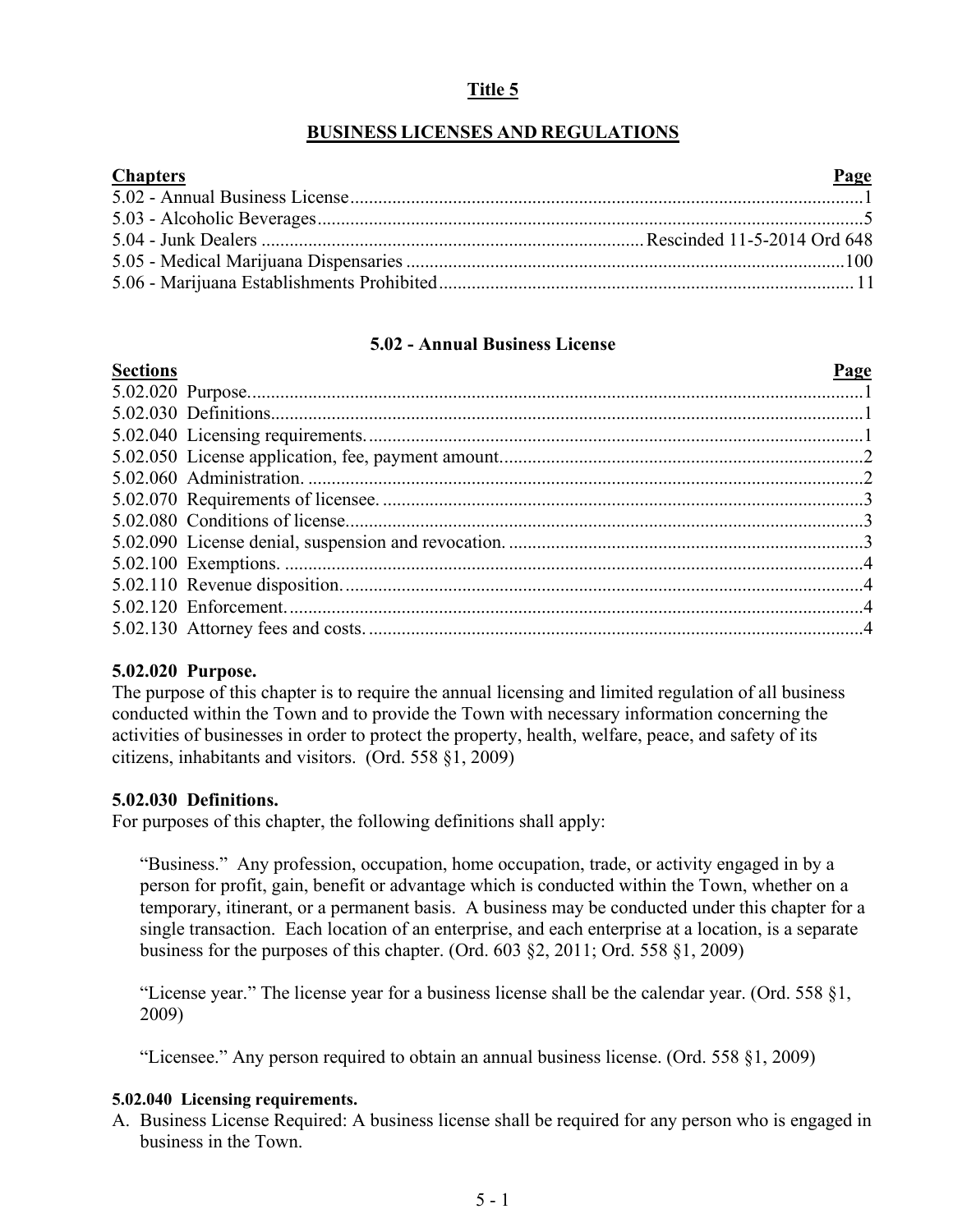# **Title 5**

## **BUSINESS LICENSES AND REGULATIONS**

| <b>Chapters</b> | Page |
|-----------------|------|
|                 |      |
|                 |      |
|                 |      |
|                 |      |
|                 |      |

# **5.02 - Annual Business License**

<span id="page-0-0"></span>

| <b>Sections</b> | <b>Page</b> |
|-----------------|-------------|
|                 |             |
|                 |             |
|                 |             |
|                 |             |
|                 |             |
|                 |             |
|                 |             |
|                 |             |
|                 |             |
|                 |             |
|                 |             |
|                 |             |
|                 |             |

## **5.02.020 Purpose.**

The purpose of this chapter is to require the annual licensing and limited regulation of all business conducted within the Town and to provide the Town with necessary information concerning the activities of businesses in order to protect the property, health, welfare, peace, and safety of its citizens, inhabitants and visitors. (Ord. 558 §1, 2009)

## **5.02.030 Definitions.**

For purposes of this chapter, the following definitions shall apply:

"Business." Any profession, occupation, home occupation, trade, or activity engaged in by a person for profit, gain, benefit or advantage which is conducted within the Town, whether on a temporary, itinerant, or a permanent basis. A business may be conducted under this chapter for a single transaction. Each location of an enterprise, and each enterprise at a location, is a separate business for the purposes of this chapter. (Ord. 603 §2, 2011; Ord. 558 §1, 2009)

"License year." The license year for a business license shall be the calendar year. (Ord. 558 §1, 2009)

"Licensee." Any person required to obtain an annual business license. (Ord. 558 §1, 2009)

#### **5.02.040 Licensing requirements.**

A. Business License Required: A business license shall be required for any person who is engaged in business in the Town.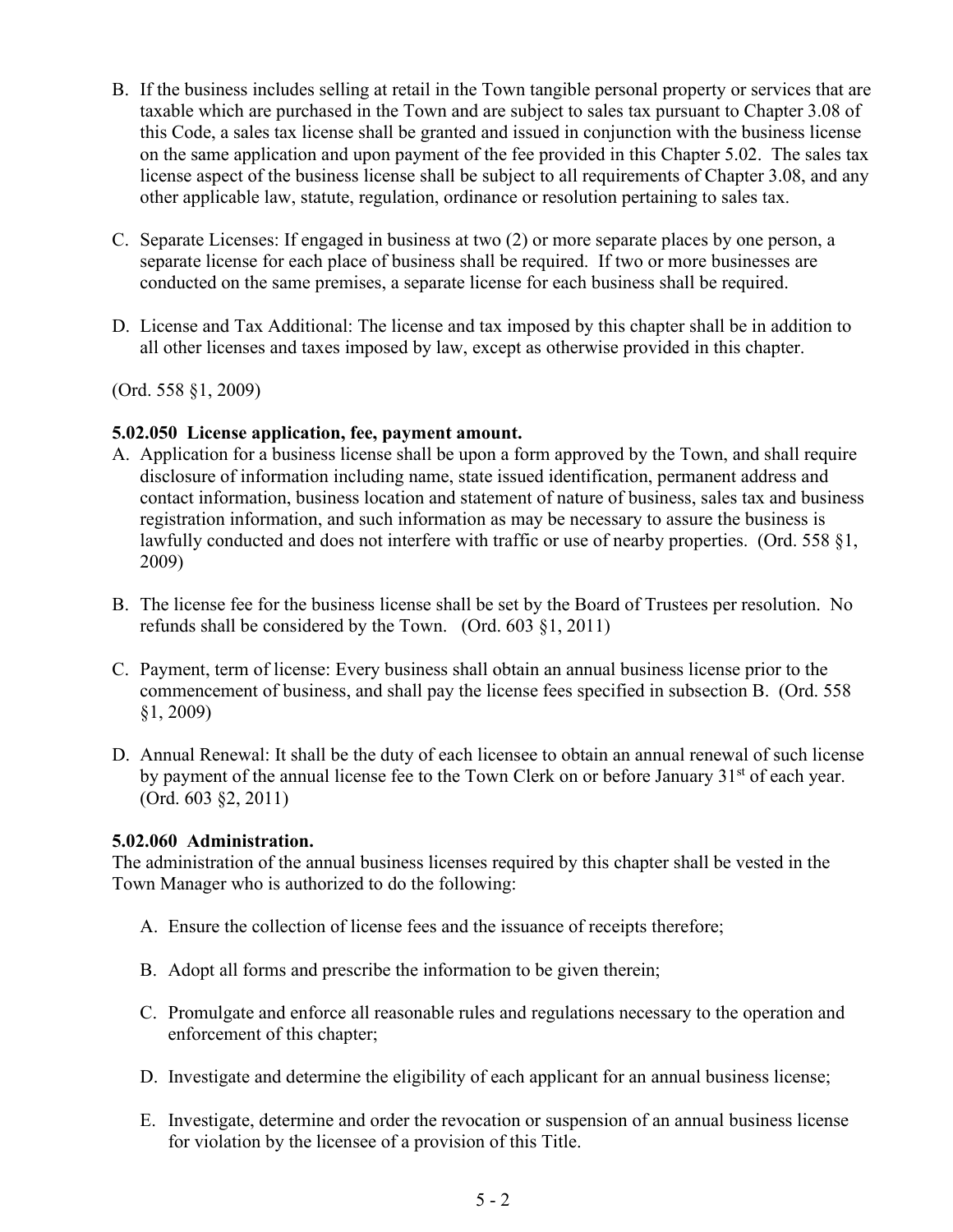- B. If the business includes selling at retail in the Town tangible personal property or services that are taxable which are purchased in the Town and are subject to sales tax pursuant to Chapter 3.08 of this Code, a sales tax license shall be granted and issued in conjunction with the business license on the same application and upon payment of the fee provided in this Chapter 5.02. The sales tax license aspect of the business license shall be subject to all requirements of Chapter 3.08, and any other applicable law, statute, regulation, ordinance or resolution pertaining to sales tax.
- C. Separate Licenses: If engaged in business at two (2) or more separate places by one person, a separate license for each place of business shall be required. If two or more businesses are conducted on the same premises, a separate license for each business shall be required.
- D. License and Tax Additional: The license and tax imposed by this chapter shall be in addition to all other licenses and taxes imposed by law, except as otherwise provided in this chapter.

(Ord. 558 §1, 2009)

### **5.02.050 License application, fee, payment amount.**

- A. Application for a business license shall be upon a form approved by the Town, and shall require disclosure of information including name, state issued identification, permanent address and contact information, business location and statement of nature of business, sales tax and business registration information, and such information as may be necessary to assure the business is lawfully conducted and does not interfere with traffic or use of nearby properties. (Ord. 558 §1, 2009)
- B. The license fee for the business license shall be set by the Board of Trustees per resolution. No refunds shall be considered by the Town. (Ord. 603 §1, 2011)
- C. Payment, term of license: Every business shall obtain an annual business license prior to the commencement of business, and shall pay the license fees specified in subsection B. (Ord. 558 §1, 2009)
- D. Annual Renewal: It shall be the duty of each licensee to obtain an annual renewal of such license by payment of the annual license fee to the Town Clerk on or before January 31<sup>st</sup> of each year. (Ord. 603 §2, 2011)

#### **5.02.060 Administration.**

The administration of the annual business licenses required by this chapter shall be vested in the Town Manager who is authorized to do the following:

- A. Ensure the collection of license fees and the issuance of receipts therefore;
- B. Adopt all forms and prescribe the information to be given therein;
- C. Promulgate and enforce all reasonable rules and regulations necessary to the operation and enforcement of this chapter;
- D. Investigate and determine the eligibility of each applicant for an annual business license;
- E. Investigate, determine and order the revocation or suspension of an annual business license for violation by the licensee of a provision of this Title.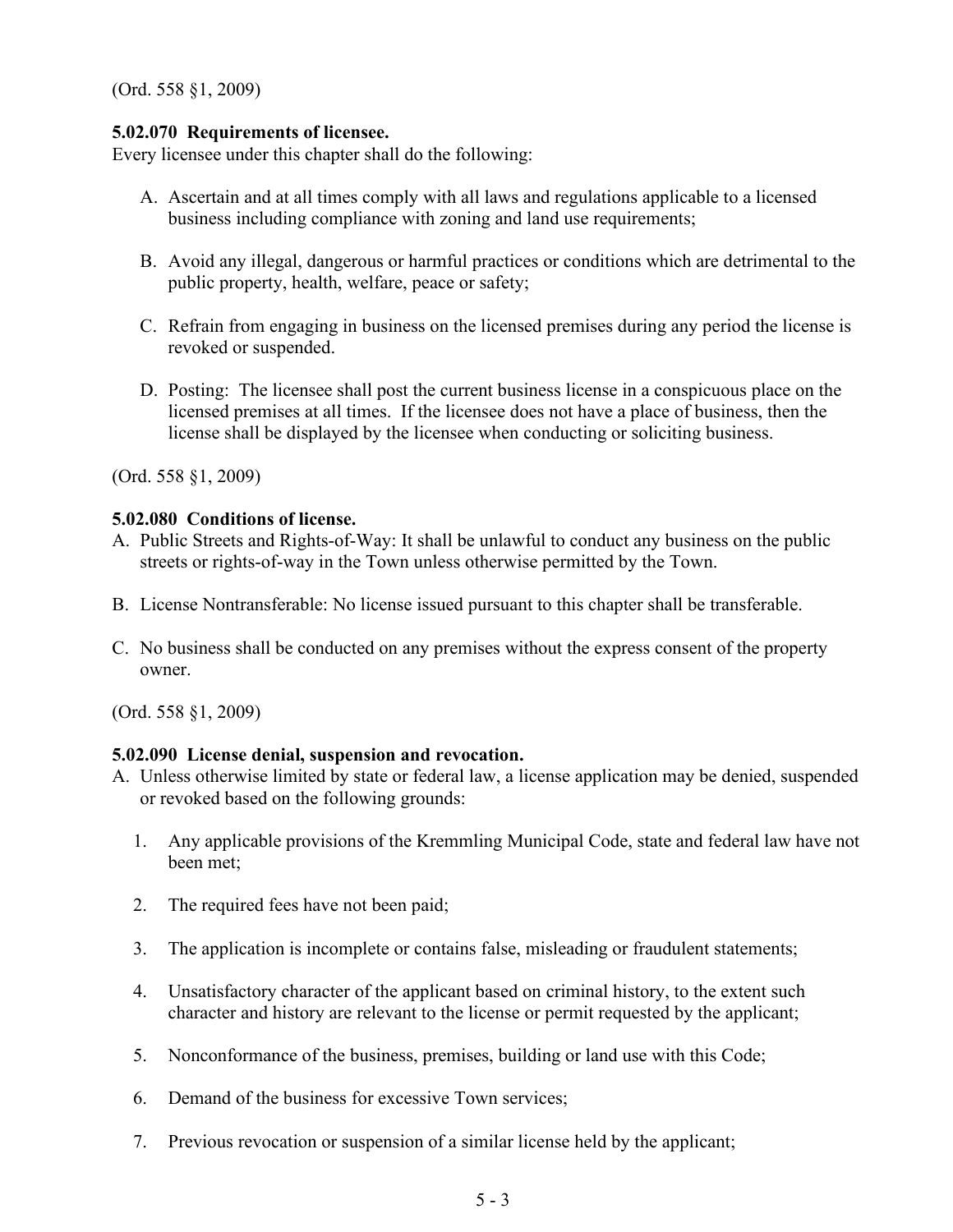(Ord. 558 §1, 2009)

### **5.02.070 Requirements of licensee.**

Every licensee under this chapter shall do the following:

- A. Ascertain and at all times comply with all laws and regulations applicable to a licensed business including compliance with zoning and land use requirements;
- B. Avoid any illegal, dangerous or harmful practices or conditions which are detrimental to the public property, health, welfare, peace or safety;
- C. Refrain from engaging in business on the licensed premises during any period the license is revoked or suspended.
- D. Posting: The licensee shall post the current business license in a conspicuous place on the licensed premises at all times. If the licensee does not have a place of business, then the license shall be displayed by the licensee when conducting or soliciting business.

(Ord. 558 §1, 2009)

### **5.02.080 Conditions of license.**

- A. Public Streets and Rights-of-Way: It shall be unlawful to conduct any business on the public streets or rights-of-way in the Town unless otherwise permitted by the Town.
- B. License Nontransferable: No license issued pursuant to this chapter shall be transferable.
- C. No business shall be conducted on any premises without the express consent of the property owner.

(Ord. 558 §1, 2009)

## **5.02.090 License denial, suspension and revocation.**

- A. Unless otherwise limited by state or federal law, a license application may be denied, suspended or revoked based on the following grounds:
	- 1. Any applicable provisions of the Kremmling Municipal Code, state and federal law have not been met;
	- 2. The required fees have not been paid;
	- 3. The application is incomplete or contains false, misleading or fraudulent statements;
	- 4. Unsatisfactory character of the applicant based on criminal history, to the extent such character and history are relevant to the license or permit requested by the applicant;
	- 5. Nonconformance of the business, premises, building or land use with this Code;
	- 6. Demand of the business for excessive Town services;
	- 7. Previous revocation or suspension of a similar license held by the applicant;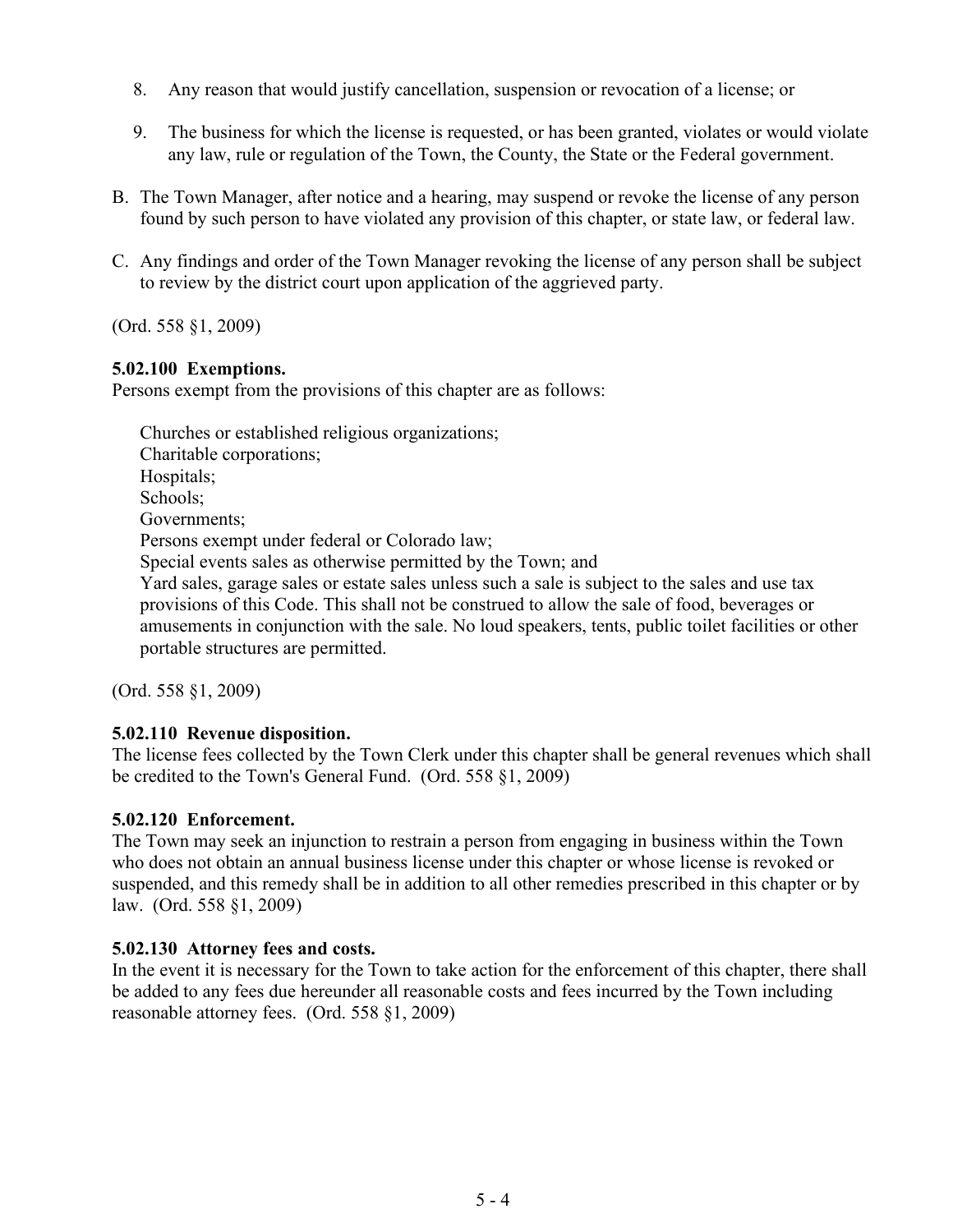- 8. Any reason that would justify cancellation, suspension or revocation of a license; or
- 9. The business for which the license is requested, or has been granted, violates or would violate any law, rule or regulation of the Town, the County, the State or the Federal government.
- B. The Town Manager, after notice and a hearing, may suspend or revoke the license of any person found by such person to have violated any provision of this chapter, or state law, or federal law.
- C. Any findings and order of the Town Manager revoking the license of any person shall be subject to review by the district court upon application of the aggrieved party.

(Ord. 558 §1, 2009)

### **5.02.100 Exemptions.**

Persons exempt from the provisions of this chapter are as follows:

Churches or established religious organizations; Charitable corporations; Hospitals; Schools; Governments; Persons exempt under federal or Colorado law; Special events sales as otherwise permitted by the Town; and Yard sales, garage sales or estate sales unless such a sale is subject to the sales and use tax provisions of this Code. This shall not be construed to allow the sale of food, beverages or amusements in conjunction with the sale. No loud speakers, tents, public toilet facilities or other portable structures are permitted.

(Ord. 558 §1, 2009)

#### **5.02.110 Revenue disposition.**

The license fees collected by the Town Clerk under this chapter shall be general revenues which shall be credited to the Town's General Fund. (Ord. 558 §1, 2009)

#### **5.02.120 Enforcement.**

The Town may seek an injunction to restrain a person from engaging in business within the Town who does not obtain an annual business license under this chapter or whose license is revoked or suspended, and this remedy shall be in addition to all other remedies prescribed in this chapter or by law. (Ord. 558 §1, 2009)

#### **5.02.130 Attorney fees and costs.**

In the event it is necessary for the Town to take action for the enforcement of this chapter, there shall be added to any fees due hereunder all reasonable costs and fees incurred by the Town including reasonable attorney fees. (Ord. 558 §1, 2009)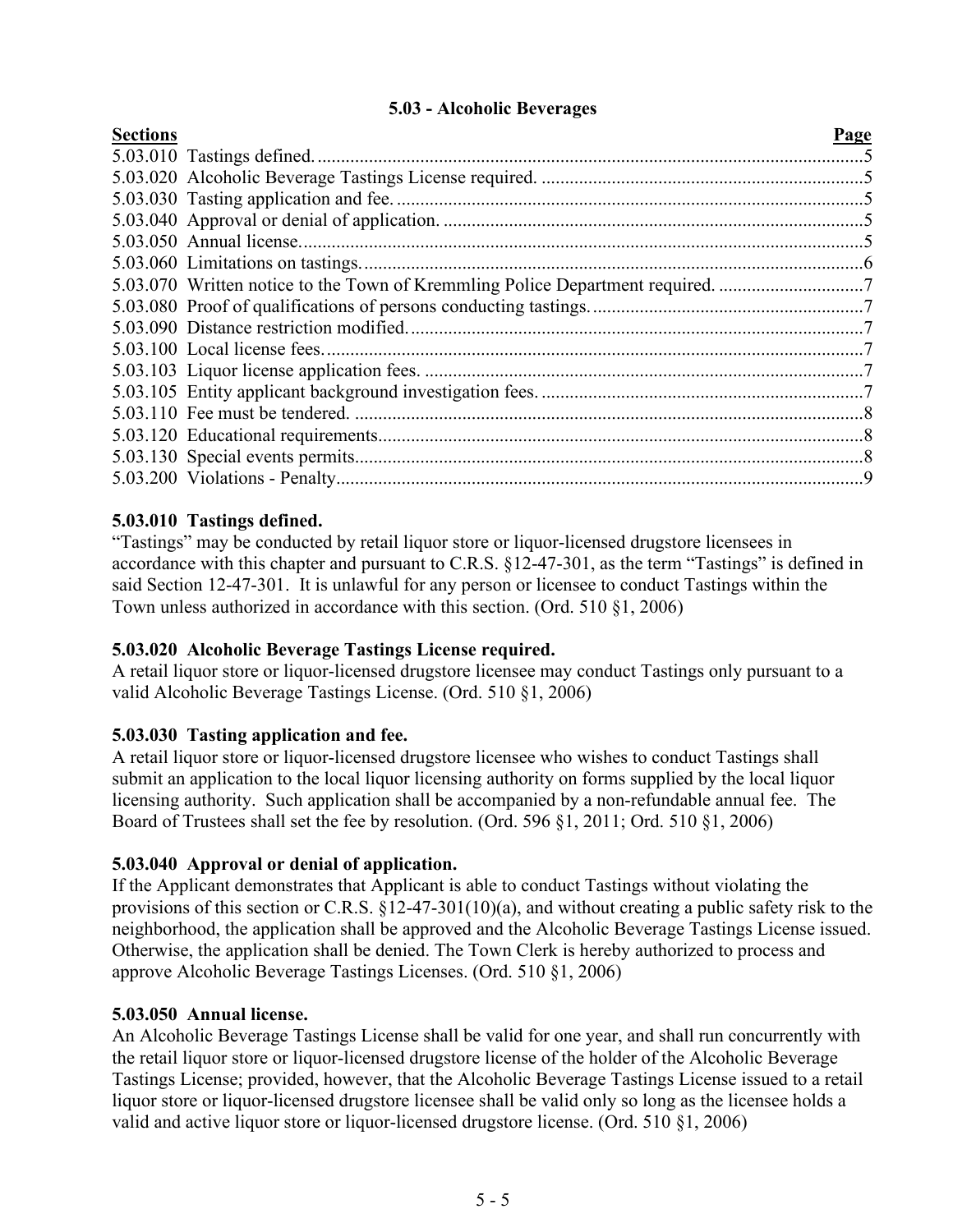## **5.03 - Alcoholic Beverages**

<span id="page-4-0"></span>

| <b>Sections</b> |                                                                                | Page |
|-----------------|--------------------------------------------------------------------------------|------|
|                 |                                                                                |      |
|                 |                                                                                |      |
|                 |                                                                                |      |
|                 |                                                                                |      |
|                 |                                                                                |      |
|                 |                                                                                |      |
|                 | 5.03.070 Written notice to the Town of Kremmling Police Department required. 7 |      |
|                 |                                                                                |      |
|                 |                                                                                |      |
|                 |                                                                                |      |
|                 |                                                                                |      |
|                 |                                                                                |      |
|                 |                                                                                |      |
|                 |                                                                                |      |
|                 |                                                                                |      |
|                 |                                                                                |      |

## **5.03.010 Tastings defined.**

"Tastings" may be conducted by retail liquor store or liquor-licensed drugstore licensees in accordance with this chapter and pursuant to C.R.S. §12-47-301, as the term "Tastings" is defined in said Section 12-47-301. It is unlawful for any person or licensee to conduct Tastings within the Town unless authorized in accordance with this section. (Ord. 510 §1, 2006)

## **5.03.020 Alcoholic Beverage Tastings License required.**

A retail liquor store or liquor-licensed drugstore licensee may conduct Tastings only pursuant to a valid Alcoholic Beverage Tastings License. (Ord. 510 §1, 2006)

## **5.03.030 Tasting application and fee.**

A retail liquor store or liquor-licensed drugstore licensee who wishes to conduct Tastings shall submit an application to the local liquor licensing authority on forms supplied by the local liquor licensing authority. Such application shall be accompanied by a non-refundable annual fee. The Board of Trustees shall set the fee by resolution. (Ord. 596 §1, 2011; Ord. 510 §1, 2006)

#### **5.03.040 Approval or denial of application.**

If the Applicant demonstrates that Applicant is able to conduct Tastings without violating the provisions of this section or C.R.S. §12-47-301(10)(a), and without creating a public safety risk to the neighborhood, the application shall be approved and the Alcoholic Beverage Tastings License issued. Otherwise, the application shall be denied. The Town Clerk is hereby authorized to process and approve Alcoholic Beverage Tastings Licenses. (Ord. 510 §1, 2006)

#### **5.03.050 Annual license.**

An Alcoholic Beverage Tastings License shall be valid for one year, and shall run concurrently with the retail liquor store or liquor-licensed drugstore license of the holder of the Alcoholic Beverage Tastings License; provided, however, that the Alcoholic Beverage Tastings License issued to a retail liquor store or liquor-licensed drugstore licensee shall be valid only so long as the licensee holds a valid and active liquor store or liquor-licensed drugstore license. (Ord. 510 §1, 2006)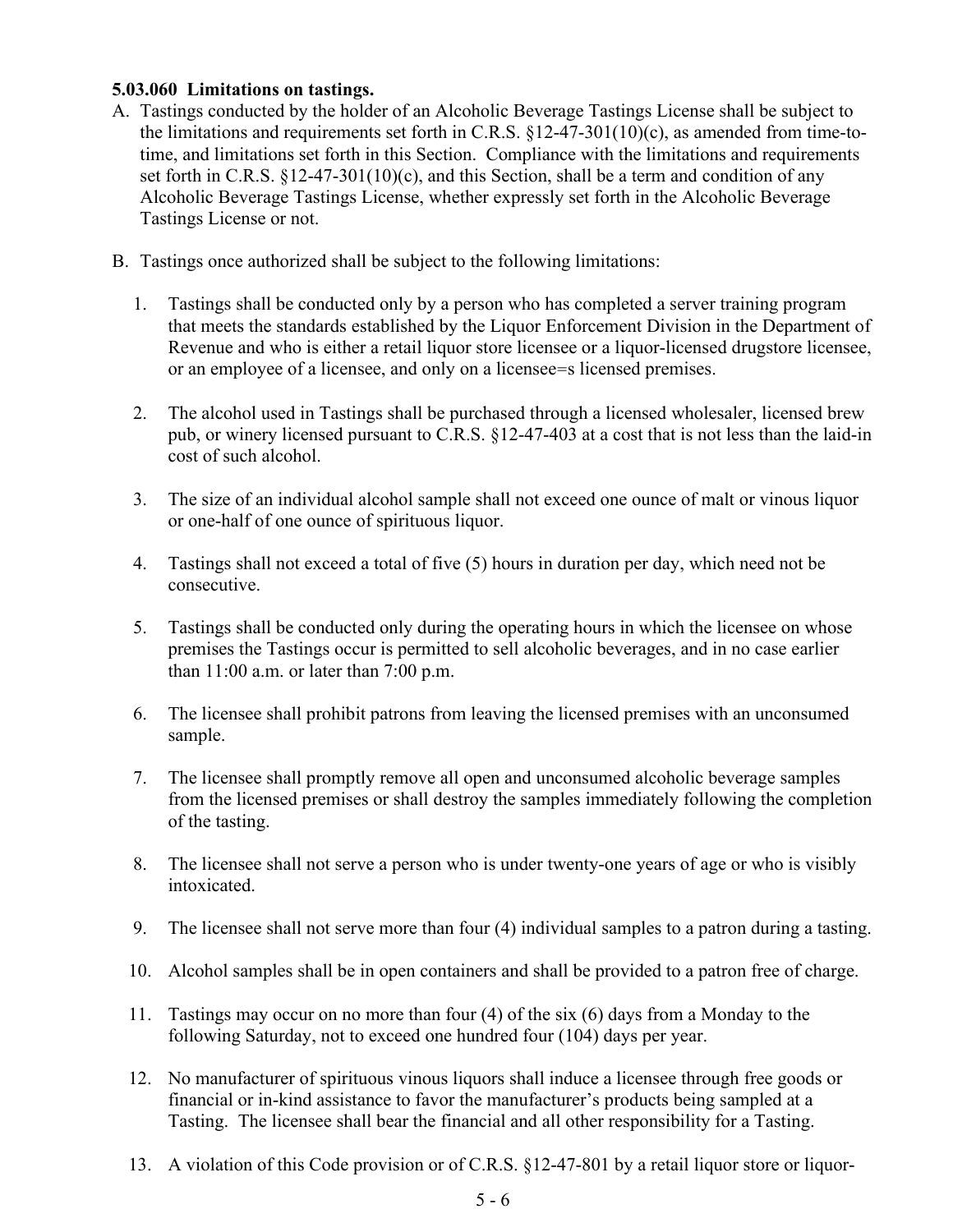## **5.03.060 Limitations on tastings.**

- A. Tastings conducted by the holder of an Alcoholic Beverage Tastings License shall be subject to the limitations and requirements set forth in C.R.S.  $\S$ 12-47-301(10)(c), as amended from time-totime, and limitations set forth in this Section. Compliance with the limitations and requirements set forth in C.R.S.  $\S$ 12-47-301(10)(c), and this Section, shall be a term and condition of any Alcoholic Beverage Tastings License, whether expressly set forth in the Alcoholic Beverage Tastings License or not.
- B. Tastings once authorized shall be subject to the following limitations:
	- 1. Tastings shall be conducted only by a person who has completed a server training program that meets the standards established by the Liquor Enforcement Division in the Department of Revenue and who is either a retail liquor store licensee or a liquor-licensed drugstore licensee, or an employee of a licensee, and only on a licensee=s licensed premises.
	- 2. The alcohol used in Tastings shall be purchased through a licensed wholesaler, licensed brew pub, or winery licensed pursuant to C.R.S. §12-47-403 at a cost that is not less than the laid-in cost of such alcohol.
	- 3. The size of an individual alcohol sample shall not exceed one ounce of malt or vinous liquor or one-half of one ounce of spirituous liquor.
	- 4. Tastings shall not exceed a total of five (5) hours in duration per day, which need not be consecutive.
	- 5. Tastings shall be conducted only during the operating hours in which the licensee on whose premises the Tastings occur is permitted to sell alcoholic beverages, and in no case earlier than 11:00 a.m. or later than 7:00 p.m.
	- 6. The licensee shall prohibit patrons from leaving the licensed premises with an unconsumed sample.
	- 7. The licensee shall promptly remove all open and unconsumed alcoholic beverage samples from the licensed premises or shall destroy the samples immediately following the completion of the tasting.
	- 8. The licensee shall not serve a person who is under twenty-one years of age or who is visibly intoxicated.
	- 9. The licensee shall not serve more than four (4) individual samples to a patron during a tasting.
	- 10. Alcohol samples shall be in open containers and shall be provided to a patron free of charge.
	- 11. Tastings may occur on no more than four (4) of the six (6) days from a Monday to the following Saturday, not to exceed one hundred four (104) days per year.
	- 12. No manufacturer of spirituous vinous liquors shall induce a licensee through free goods or financial or in-kind assistance to favor the manufacturer's products being sampled at a Tasting. The licensee shall bear the financial and all other responsibility for a Tasting.
	- 13. A violation of this Code provision or of C.R.S. §12-47-801 by a retail liquor store or liquor-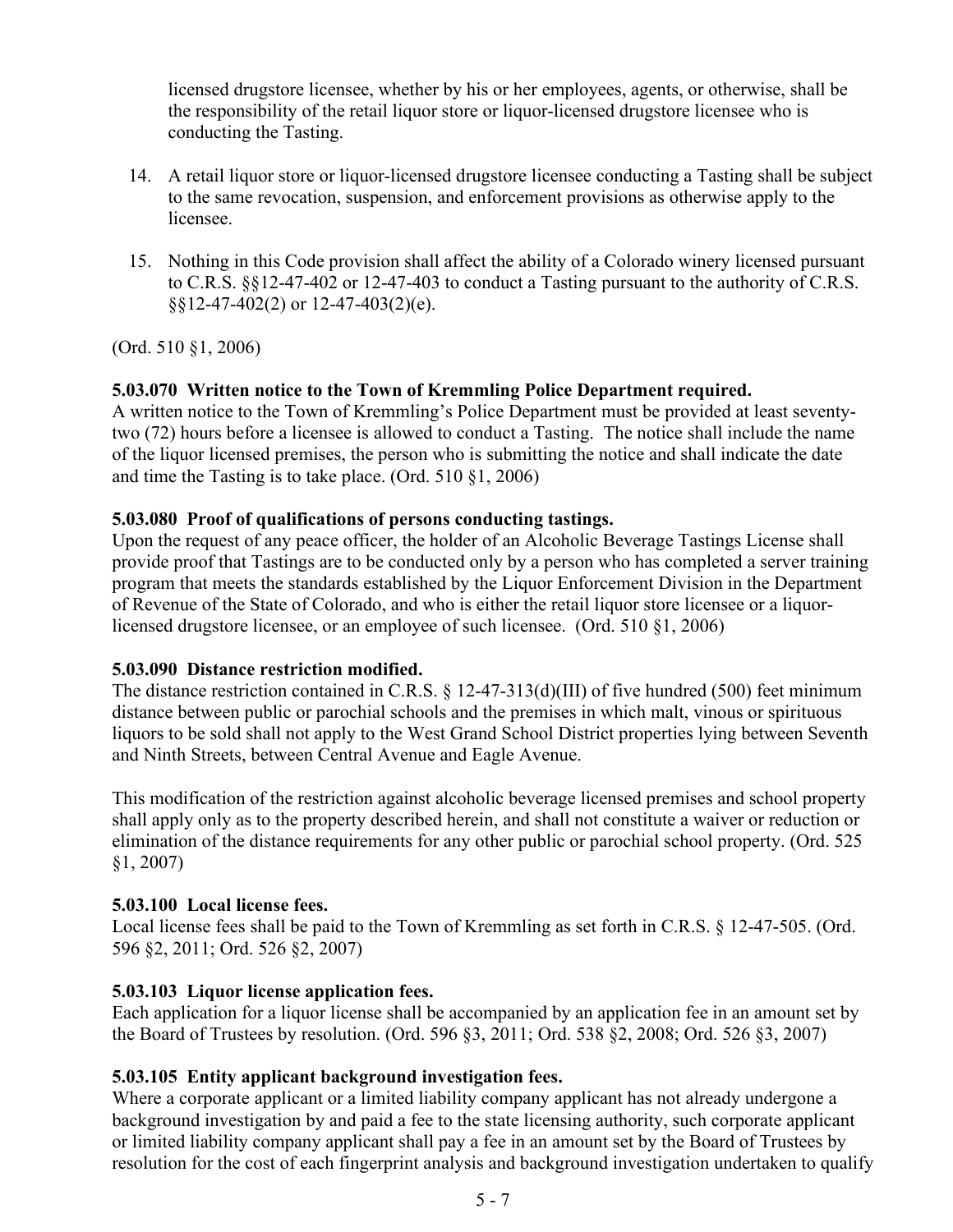licensed drugstore licensee, whether by his or her employees, agents, or otherwise, shall be the responsibility of the retail liquor store or liquor-licensed drugstore licensee who is conducting the Tasting.

- 14. A retail liquor store or liquor-licensed drugstore licensee conducting a Tasting shall be subject to the same revocation, suspension, and enforcement provisions as otherwise apply to the licensee.
- 15. Nothing in this Code provision shall affect the ability of a Colorado winery licensed pursuant to C.R.S. §§12-47-402 or 12-47-403 to conduct a Tasting pursuant to the authority of C.R.S. §§12-47-402(2) or 12-47-403(2)(e).

(Ord. 510 §1, 2006)

# **5.03.070 Written notice to the Town of Kremmling Police Department required.**

A written notice to the Town of Kremmling's Police Department must be provided at least seventytwo (72) hours before a licensee is allowed to conduct a Tasting. The notice shall include the name of the liquor licensed premises, the person who is submitting the notice and shall indicate the date and time the Tasting is to take place. (Ord. 510 §1, 2006)

## **5.03.080 Proof of qualifications of persons conducting tastings.**

Upon the request of any peace officer, the holder of an Alcoholic Beverage Tastings License shall provide proof that Tastings are to be conducted only by a person who has completed a server training program that meets the standards established by the Liquor Enforcement Division in the Department of Revenue of the State of Colorado, and who is either the retail liquor store licensee or a liquorlicensed drugstore licensee, or an employee of such licensee. (Ord. 510 §1, 2006)

## **5.03.090 Distance restriction modified.**

The distance restriction contained in C.R.S. § 12-47-313(d)(III) of five hundred (500) feet minimum distance between public or parochial schools and the premises in which malt, vinous or spirituous liquors to be sold shall not apply to the West Grand School District properties lying between Seventh and Ninth Streets, between Central Avenue and Eagle Avenue.

This modification of the restriction against alcoholic beverage licensed premises and school property shall apply only as to the property described herein, and shall not constitute a waiver or reduction or elimination of the distance requirements for any other public or parochial school property. (Ord. 525 §1, 2007)

## **5.03.100 Local license fees.**

Local license fees shall be paid to the Town of Kremmling as set forth in C.R.S. § 12-47-505. (Ord. 596 §2, 2011; Ord. 526 §2, 2007)

## **5.03.103 Liquor license application fees.**

Each application for a liquor license shall be accompanied by an application fee in an amount set by the Board of Trustees by resolution. (Ord. 596 §3, 2011; Ord. 538 §2, 2008; Ord. 526 §3, 2007)

## **5.03.105 Entity applicant background investigation fees.**

Where a corporate applicant or a limited liability company applicant has not already undergone a background investigation by and paid a fee to the state licensing authority, such corporate applicant or limited liability company applicant shall pay a fee in an amount set by the Board of Trustees by resolution for the cost of each fingerprint analysis and background investigation undertaken to qualify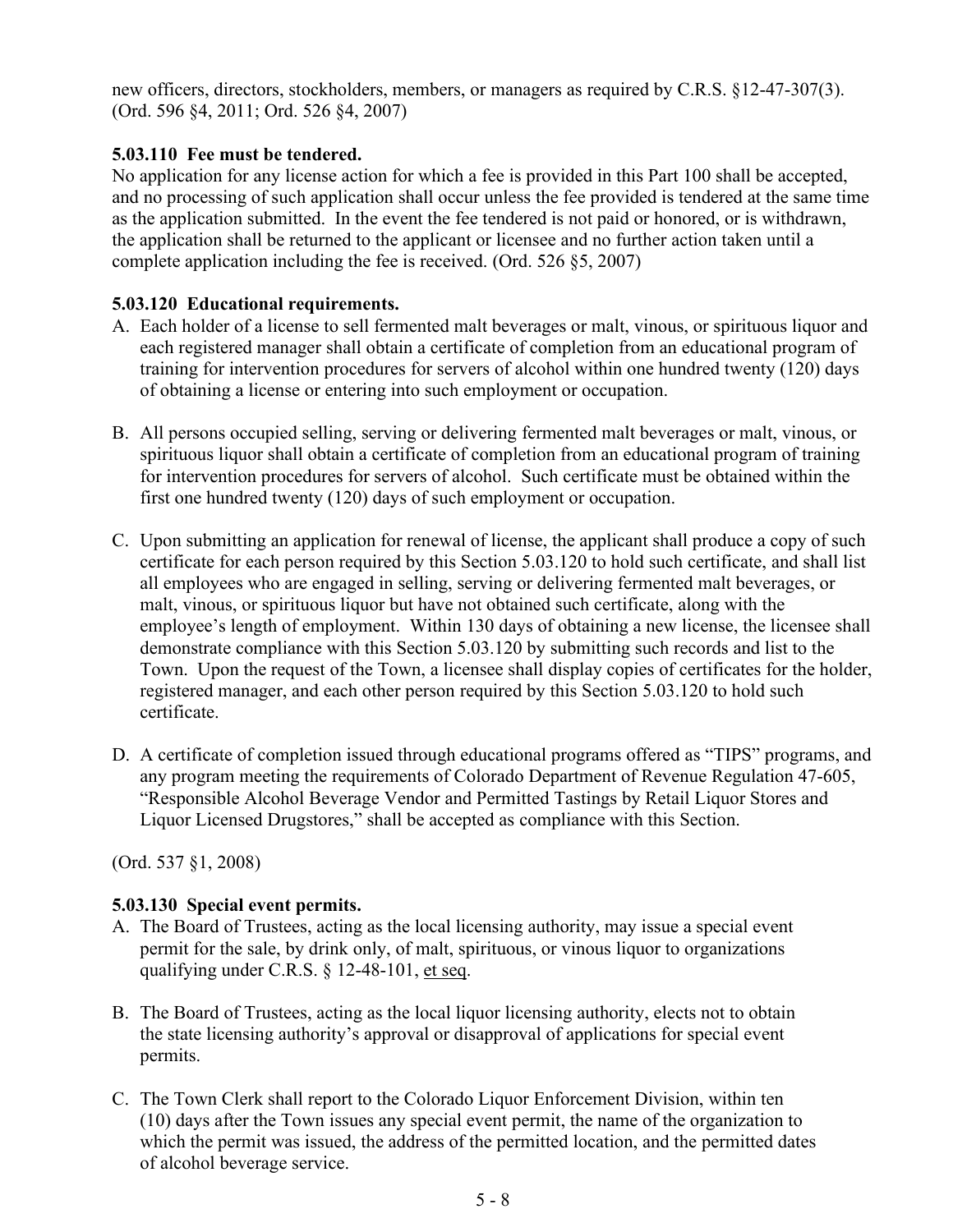new officers, directors, stockholders, members, or managers as required by C.R.S. §12-47-307(3). (Ord. 596 §4, 2011; Ord. 526 §4, 2007)

# **5.03.110 Fee must be tendered.**

No application for any license action for which a fee is provided in this Part 100 shall be accepted, and no processing of such application shall occur unless the fee provided is tendered at the same time as the application submitted. In the event the fee tendered is not paid or honored, or is withdrawn, the application shall be returned to the applicant or licensee and no further action taken until a complete application including the fee is received. (Ord. 526 §5, 2007)

# **5.03.120 Educational requirements.**

- A. Each holder of a license to sell fermented malt beverages or malt, vinous, or spirituous liquor and each registered manager shall obtain a certificate of completion from an educational program of training for intervention procedures for servers of alcohol within one hundred twenty (120) days of obtaining a license or entering into such employment or occupation.
- B. All persons occupied selling, serving or delivering fermented malt beverages or malt, vinous, or spirituous liquor shall obtain a certificate of completion from an educational program of training for intervention procedures for servers of alcohol. Such certificate must be obtained within the first one hundred twenty (120) days of such employment or occupation.
- C. Upon submitting an application for renewal of license, the applicant shall produce a copy of such certificate for each person required by this Section 5.03.120 to hold such certificate, and shall list all employees who are engaged in selling, serving or delivering fermented malt beverages, or malt, vinous, or spirituous liquor but have not obtained such certificate, along with the employee's length of employment. Within 130 days of obtaining a new license, the licensee shall demonstrate compliance with this Section 5.03.120 by submitting such records and list to the Town. Upon the request of the Town, a licensee shall display copies of certificates for the holder, registered manager, and each other person required by this Section 5.03.120 to hold such certificate.
- D. A certificate of completion issued through educational programs offered as "TIPS" programs, and any program meeting the requirements of Colorado Department of Revenue Regulation 47-605, "Responsible Alcohol Beverage Vendor and Permitted Tastings by Retail Liquor Stores and Liquor Licensed Drugstores," shall be accepted as compliance with this Section.

(Ord. 537 §1, 2008)

# **5.03.130 Special event permits.**

- A. The Board of Trustees, acting as the local licensing authority, may issue a special event permit for the sale, by drink only, of malt, spirituous, or vinous liquor to organizations qualifying under C.R.S. § 12-48-101, et seq.
- B. The Board of Trustees, acting as the local liquor licensing authority, elects not to obtain the state licensing authority's approval or disapproval of applications for special event permits.
- C. The Town Clerk shall report to the Colorado Liquor Enforcement Division, within ten (10) days after the Town issues any special event permit, the name of the organization to which the permit was issued, the address of the permitted location, and the permitted dates of alcohol beverage service.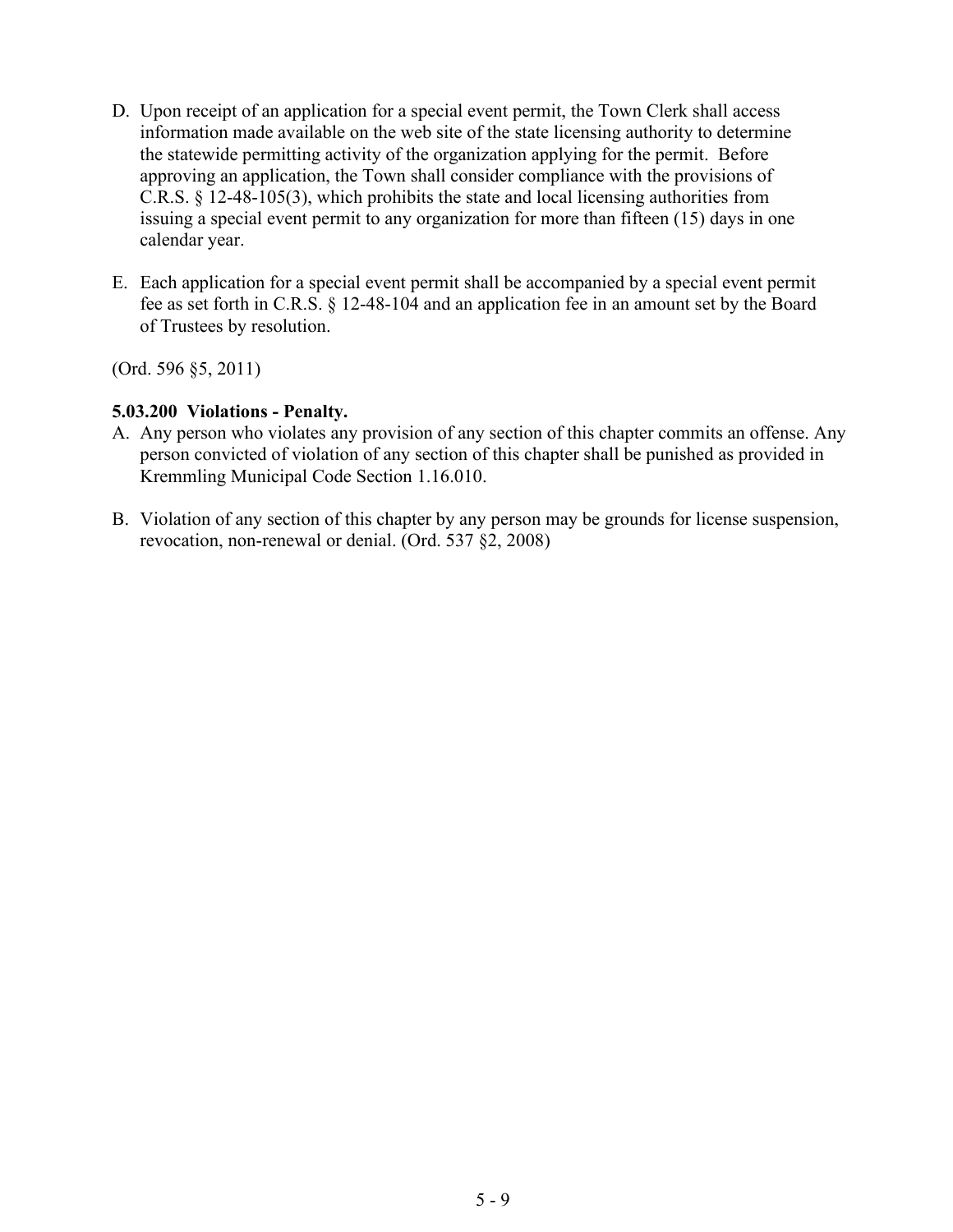- D. Upon receipt of an application for a special event permit, the Town Clerk shall access information made available on the web site of the state licensing authority to determine the statewide permitting activity of the organization applying for the permit. Before approving an application, the Town shall consider compliance with the provisions of C.R.S. § 12-48-105(3), which prohibits the state and local licensing authorities from issuing a special event permit to any organization for more than fifteen (15) days in one calendar year.
- E. Each application for a special event permit shall be accompanied by a special event permit fee as set forth in C.R.S. § 12-48-104 and an application fee in an amount set by the Board of Trustees by resolution.

(Ord. 596 §5, 2011)

### **5.03.200 Violations - Penalty.**

- A. Any person who violates any provision of any section of this chapter commits an offense. Any person convicted of violation of any section of this chapter shall be punished as provided in Kremmling Municipal Code Section 1.16.010.
- B. Violation of any section of this chapter by any person may be grounds for license suspension, revocation, non-renewal or denial. (Ord. 537 §2, 2008)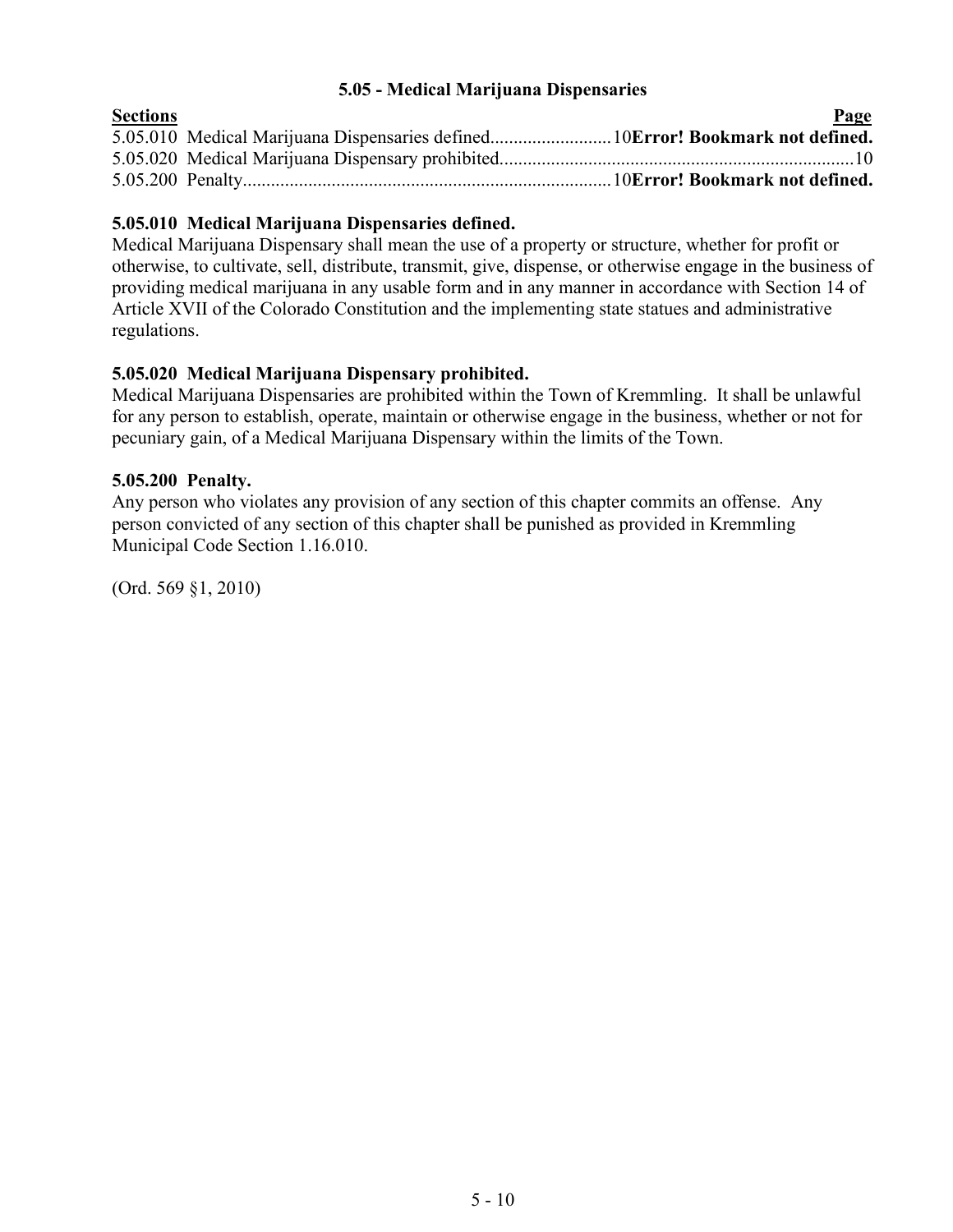### **5.05 - Medical Marijuana Dispensaries**

<span id="page-9-0"></span>

| <b>Sections</b> |                                                                               | Page |
|-----------------|-------------------------------------------------------------------------------|------|
|                 | 5.05.010 Medical Marijuana Dispensaries defined10Error! Bookmark not defined. |      |
|                 |                                                                               |      |
|                 |                                                                               |      |
|                 |                                                                               |      |

# **5.05.010 Medical Marijuana Dispensaries defined.**

Medical Marijuana Dispensary shall mean the use of a property or structure, whether for profit or otherwise, to cultivate, sell, distribute, transmit, give, dispense, or otherwise engage in the business of providing medical marijuana in any usable form and in any manner in accordance with Section 14 of Article XVII of the Colorado Constitution and the implementing state statues and administrative regulations.

## **5.05.020 Medical Marijuana Dispensary prohibited.**

Medical Marijuana Dispensaries are prohibited within the Town of Kremmling. It shall be unlawful for any person to establish, operate, maintain or otherwise engage in the business, whether or not for pecuniary gain, of a Medical Marijuana Dispensary within the limits of the Town.

## **5.05.200 Penalty.**

Any person who violates any provision of any section of this chapter commits an offense. Any person convicted of any section of this chapter shall be punished as provided in Kremmling Municipal Code Section 1.16.010.

(Ord. 569 §1, 2010)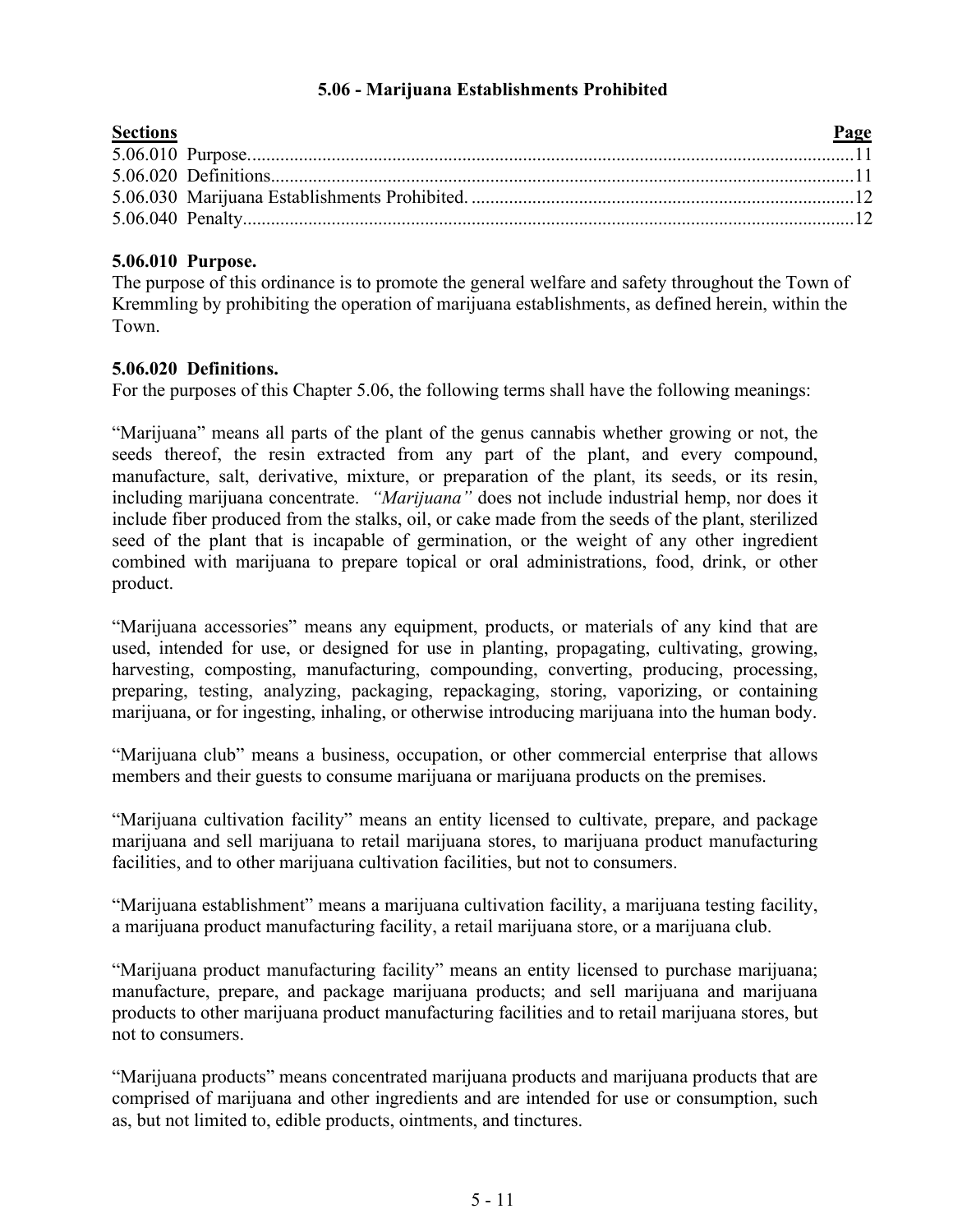## **5.06 - Marijuana Establishments Prohibited**

| <b>Sections</b> | Page |
|-----------------|------|
|                 |      |
|                 |      |
|                 |      |
|                 |      |
|                 |      |

# **5.06.010 Purpose.**

The purpose of this ordinance is to promote the general welfare and safety throughout the Town of Kremmling by prohibiting the operation of marijuana establishments, as defined herein, within the Town.

# **5.06.020 Definitions.**

For the purposes of this Chapter 5.06, the following terms shall have the following meanings:

"Marijuana" means all parts of the plant of the genus cannabis whether growing or not, the seeds thereof, the resin extracted from any part of the plant, and every compound, manufacture, salt, derivative, mixture, or preparation of the plant, its seeds, or its resin, including marijuana concentrate. *"Marijuana"* does not include industrial hemp, nor does it include fiber produced from the stalks, oil, or cake made from the seeds of the plant, sterilized seed of the plant that is incapable of germination, or the weight of any other ingredient combined with marijuana to prepare topical or oral administrations, food, drink, or other product.

"Marijuana accessories" means any equipment, products, or materials of any kind that are used, intended for use, or designed for use in planting, propagating, cultivating, growing, harvesting, composting, manufacturing, compounding, converting, producing, processing, preparing, testing, analyzing, packaging, repackaging, storing, vaporizing, or containing marijuana, or for ingesting, inhaling, or otherwise introducing marijuana into the human body.

"Marijuana club" means a business, occupation, or other commercial enterprise that allows members and their guests to consume marijuana or marijuana products on the premises.

"Marijuana cultivation facility" means an entity licensed to cultivate, prepare, and package marijuana and sell marijuana to retail marijuana stores, to marijuana product manufacturing facilities, and to other marijuana cultivation facilities, but not to consumers.

"Marijuana establishment" means a marijuana cultivation facility, a marijuana testing facility, a marijuana product manufacturing facility, a retail marijuana store, or a marijuana club.

"Marijuana product manufacturing facility" means an entity licensed to purchase marijuana; manufacture, prepare, and package marijuana products; and sell marijuana and marijuana products to other marijuana product manufacturing facilities and to retail marijuana stores, but not to consumers.

"Marijuana products" means concentrated marijuana products and marijuana products that are comprised of marijuana and other ingredients and are intended for use or consumption, such as, but not limited to, edible products, ointments, and tinctures.